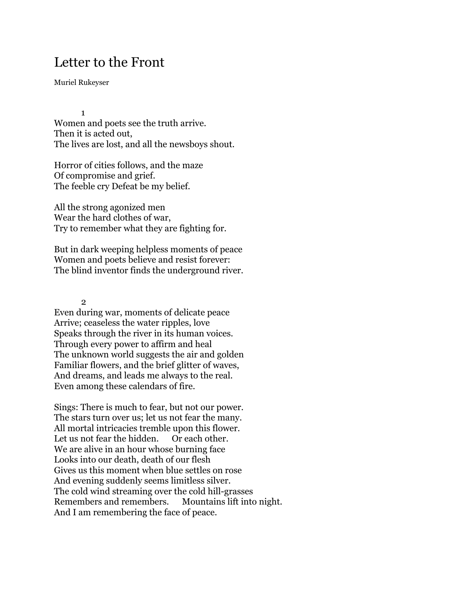## Letter to the Front

Muriel Rukeyser

 1 Women and poets see the truth arrive. Then it is acted out, The lives are lost, and all the newsboys shout.

Horror of cities follows, and the maze Of compromise and grief. The feeble cry Defeat be my belief.

All the strong agonized men Wear the hard clothes of war, Try to remember what they are fighting for.

But in dark weeping helpless moments of peace Women and poets believe and resist forever: The blind inventor finds the underground river.

 $\mathfrak{p}$ 

Even during war, moments of delicate peace Arrive; ceaseless the water ripples, love Speaks through the river in its human voices. Through every power to affirm and heal The unknown world suggests the air and golden Familiar flowers, and the brief glitter of waves, And dreams, and leads me always to the real. Even among these calendars of fire.

Sings: There is much to fear, but not our power. The stars turn over us; let us not fear the many. All mortal intricacies tremble upon this flower. Let us not fear the hidden. Or each other. We are alive in an hour whose burning face Looks into our death, death of our flesh Gives us this moment when blue settles on rose And evening suddenly seems limitless silver. The cold wind streaming over the cold hill-grasses Remembers and remembers. Mountains lift into night. And I am remembering the face of peace.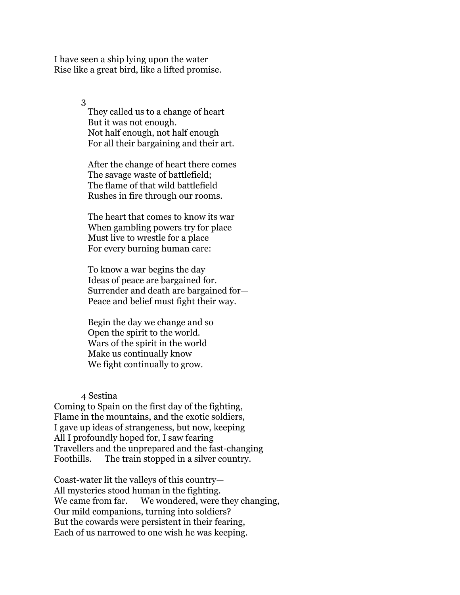I have seen a ship lying upon the water Rise like a great bird, like a lifted promise.

3

They called us to a change of heart But it was not enough. Not half enough, not half enough For all their bargaining and their art.

After the change of heart there comes The savage waste of battlefield; The flame of that wild battlefield Rushes in fire through our rooms.

The heart that comes to know its war When gambling powers try for place Must live to wrestle for a place For every burning human care:

To know a war begins the day Ideas of peace are bargained for. Surrender and death are bargained for— Peace and belief must fight their way.

Begin the day we change and so Open the spirit to the world. Wars of the spirit in the world Make us continually know We fight continually to grow.

## 4 Sestina

Coming to Spain on the first day of the fighting, Flame in the mountains, and the exotic soldiers, I gave up ideas of strangeness, but now, keeping All I profoundly hoped for, I saw fearing Travellers and the unprepared and the fast-changing Foothills. The train stopped in a silver country.

Coast-water lit the valleys of this country— All mysteries stood human in the fighting. We came from far. We wondered, were they changing, Our mild companions, turning into soldiers? But the cowards were persistent in their fearing, Each of us narrowed to one wish he was keeping.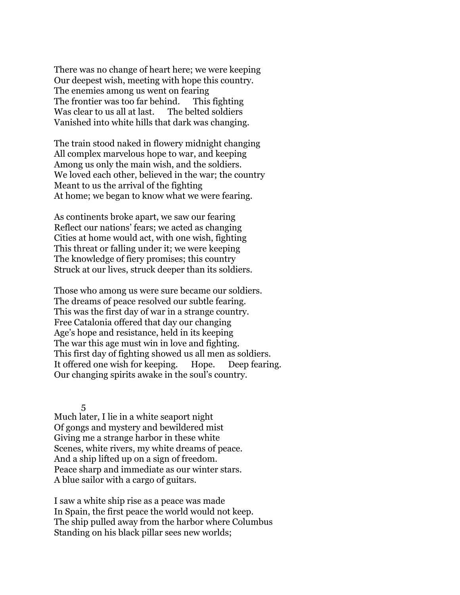There was no change of heart here; we were keeping Our deepest wish, meeting with hope this country. The enemies among us went on fearing The frontier was too far behind. This fighting Was clear to us all at last. The belted soldiers Vanished into white hills that dark was changing.

The train stood naked in flowery midnight changing All complex marvelous hope to war, and keeping Among us only the main wish, and the soldiers. We loved each other, believed in the war; the country Meant to us the arrival of the fighting At home; we began to know what we were fearing.

As continents broke apart, we saw our fearing Reflect our nations' fears; we acted as changing Cities at home would act, with one wish, fighting This threat or falling under it; we were keeping The knowledge of fiery promises; this country Struck at our lives, struck deeper than its soldiers.

Those who among us were sure became our soldiers. The dreams of peace resolved our subtle fearing. This was the first day of war in a strange country. Free Catalonia offered that day our changing Age's hope and resistance, held in its keeping The war this age must win in love and fighting. This first day of fighting showed us all men as soldiers. It offered one wish for keeping. Hope. Deep fearing. Our changing spirits awake in the soul's country.

5

Much later, I lie in a white seaport night Of gongs and mystery and bewildered mist Giving me a strange harbor in these white Scenes, white rivers, my white dreams of peace. And a ship lifted up on a sign of freedom. Peace sharp and immediate as our winter stars. A blue sailor with a cargo of guitars.

I saw a white ship rise as a peace was made In Spain, the first peace the world would not keep. The ship pulled away from the harbor where Columbus Standing on his black pillar sees new worlds;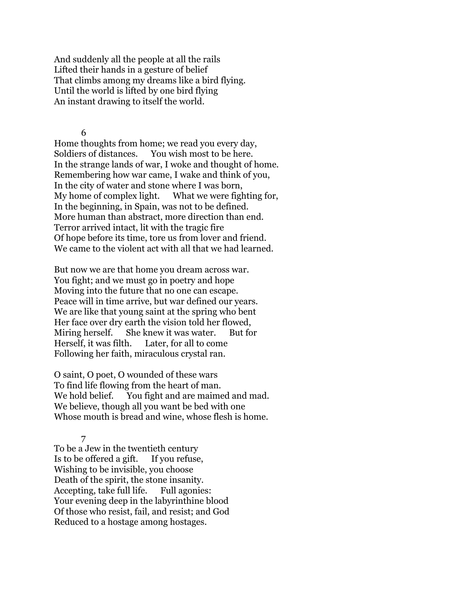And suddenly all the people at all the rails Lifted their hands in a gesture of belief That climbs among my dreams like a bird flying. Until the world is lifted by one bird flying An instant drawing to itself the world.

6

Home thoughts from home; we read you every day, Soldiers of distances. You wish most to be here. In the strange lands of war, I woke and thought of home. Remembering how war came, I wake and think of you, In the city of water and stone where I was born, My home of complex light. What we were fighting for, In the beginning, in Spain, was not to be defined. More human than abstract, more direction than end. Terror arrived intact, lit with the tragic fire Of hope before its time, tore us from lover and friend. We came to the violent act with all that we had learned.

But now we are that home you dream across war. You fight; and we must go in poetry and hope Moving into the future that no one can escape. Peace will in time arrive, but war defined our years. We are like that young saint at the spring who bent Her face over dry earth the vision told her flowed, Miring herself. She knew it was water. But for Herself, it was filth. Later, for all to come Following her faith, miraculous crystal ran.

O saint, O poet, O wounded of these wars To find life flowing from the heart of man. We hold belief. You fight and are maimed and mad. We believe, though all you want be bed with one Whose mouth is bread and wine, whose flesh is home.

 7 To be a Jew in the twentieth century Is to be offered a gift. If you refuse, Wishing to be invisible, you choose Death of the spirit, the stone insanity. Accepting, take full life. Full agonies: Your evening deep in the labyrinthine blood Of those who resist, fail, and resist; and God Reduced to a hostage among hostages.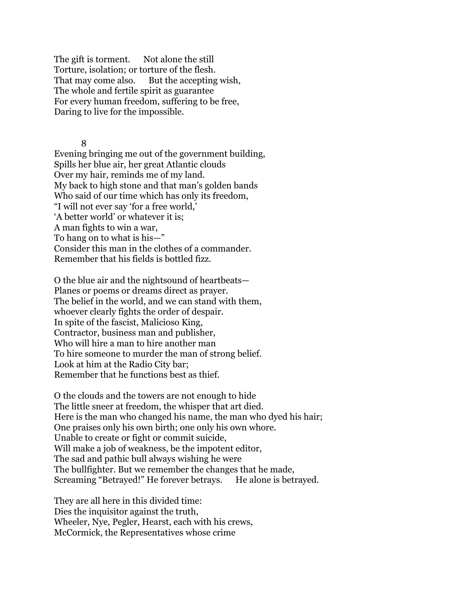The gift is torment. Not alone the still Torture, isolation; or torture of the flesh. That may come also. But the accepting wish, The whole and fertile spirit as guarantee For every human freedom, suffering to be free, Daring to live for the impossible.

8

Evening bringing me out of the government building, Spills her blue air, her great Atlantic clouds Over my hair, reminds me of my land. My back to high stone and that man's golden bands Who said of our time which has only its freedom, "I will not ever say 'for a free world,' 'A better world' or whatever it is; A man fights to win a war, To hang on to what is his—" Consider this man in the clothes of a commander. Remember that his fields is bottled fizz.

O the blue air and the nightsound of heartbeats— Planes or poems or dreams direct as prayer. The belief in the world, and we can stand with them, whoever clearly fights the order of despair. In spite of the fascist, Malicioso King, Contractor, business man and publisher, Who will hire a man to hire another man To hire someone to murder the man of strong belief. Look at him at the Radio City bar; Remember that he functions best as thief.

O the clouds and the towers are not enough to hide The little sneer at freedom, the whisper that art died. Here is the man who changed his name, the man who dyed his hair; One praises only his own birth; one only his own whore. Unable to create or fight or commit suicide, Will make a job of weakness, be the impotent editor, The sad and pathic bull always wishing he were The bullfighter. But we remember the changes that he made, Screaming "Betrayed!" He forever betrays. He alone is betrayed.

They are all here in this divided time: Dies the inquisitor against the truth, Wheeler, Nye, Pegler, Hearst, each with his crews, McCormick, the Representatives whose crime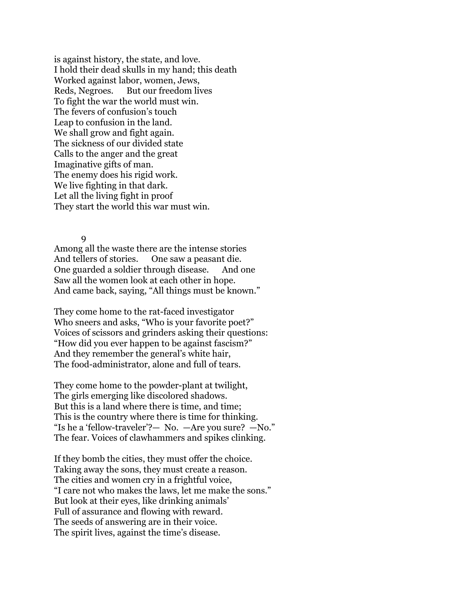is against history, the state, and love. I hold their dead skulls in my hand; this death Worked against labor, women, Jews, Reds, Negroes. But our freedom lives To fight the war the world must win. The fevers of confusion's touch Leap to confusion in the land. We shall grow and fight again. The sickness of our divided state Calls to the anger and the great Imaginative gifts of man. The enemy does his rigid work. We live fighting in that dark. Let all the living fight in proof They start the world this war must win.

9

Among all the waste there are the intense stories And tellers of stories. One saw a peasant die. One guarded a soldier through disease. And one Saw all the women look at each other in hope. And came back, saying, "All things must be known."

They come home to the rat-faced investigator Who sneers and asks, "Who is your favorite poet?" Voices of scissors and grinders asking their questions: "How did you ever happen to be against fascism?" And they remember the general's white hair, The food-administrator, alone and full of tears.

They come home to the powder-plant at twilight, The girls emerging like discolored shadows. But this is a land where there is time, and time; This is the country where there is time for thinking. "Is he a 'fellow-traveler'?— No. —Are you sure? —No." The fear. Voices of clawhammers and spikes clinking.

If they bomb the cities, they must offer the choice. Taking away the sons, they must create a reason. The cities and women cry in a frightful voice, "I care not who makes the laws, let me make the sons." But look at their eyes, like drinking animals' Full of assurance and flowing with reward. The seeds of answering are in their voice. The spirit lives, against the time's disease.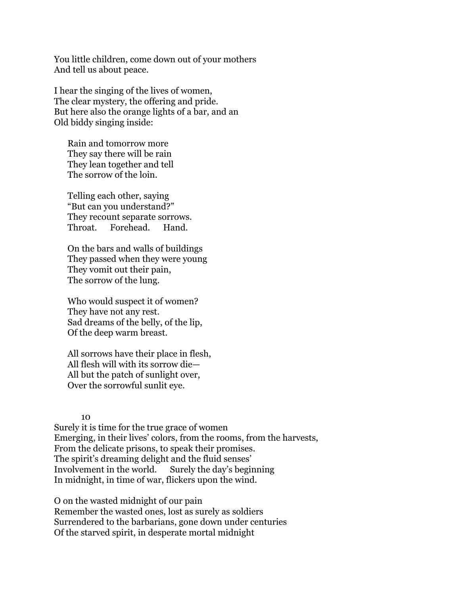You little children, come down out of your mothers And tell us about peace.

I hear the singing of the lives of women, The clear mystery, the offering and pride. But here also the orange lights of a bar, and an Old biddy singing inside:

Rain and tomorrow more They say there will be rain They lean together and tell The sorrow of the loin.

Telling each other, saying "But can you understand?" They recount separate sorrows. Throat. Forehead. Hand.

On the bars and walls of buildings They passed when they were young They vomit out their pain, The sorrow of the lung.

Who would suspect it of women? They have not any rest. Sad dreams of the belly, of the lip, Of the deep warm breast.

All sorrows have their place in flesh, All flesh will with its sorrow die— All but the patch of sunlight over, Over the sorrowful sunlit eye.

10

Surely it is time for the true grace of women Emerging, in their lives' colors, from the rooms, from the harvests, From the delicate prisons, to speak their promises. The spirit's dreaming delight and the fluid senses' Involvement in the world. Surely the day's beginning In midnight, in time of war, flickers upon the wind.

O on the wasted midnight of our pain Remember the wasted ones, lost as surely as soldiers Surrendered to the barbarians, gone down under centuries Of the starved spirit, in desperate mortal midnight